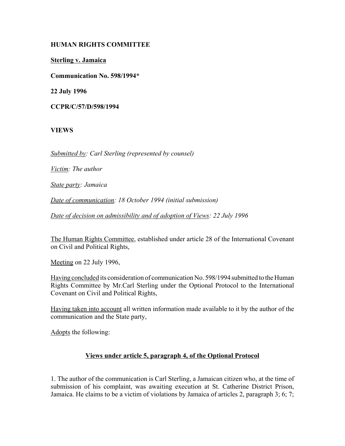## **HUMAN RIGHTS COMMITTEE**

**Sterling v. Jamaica**

**Communication No. 598/1994\***

**22 July 1996**

**CCPR/C/57/D/598/1994**

### **VIEWS**

*Submitted by: Carl Sterling (represented by counsel)*

*Victim: The author*

*State party: Jamaica*

*Date of communication: 18 October 1994 (initial submission)* 

*Date of decision on admissibility and of adoption of Views: 22 July 1996*

The Human Rights Committee, established under article 28 of the International Covenant on Civil and Political Rights,

Meeting on 22 July 1996,

Having concluded its consideration of communication No. 598/1994 submitted to the Human Rights Committee by Mr.Carl Sterling under the Optional Protocol to the International Covenant on Civil and Political Rights,

Having taken into account all written information made available to it by the author of the communication and the State party,

Adopts the following:

#### **Views under article 5, paragraph 4, of the Optional Protocol**

1. The author of the communication is Carl Sterling, a Jamaican citizen who, at the time of submission of his complaint, was awaiting execution at St. Catherine District Prison, Jamaica. He claims to be a victim of violations by Jamaica of articles 2, paragraph 3; 6; 7;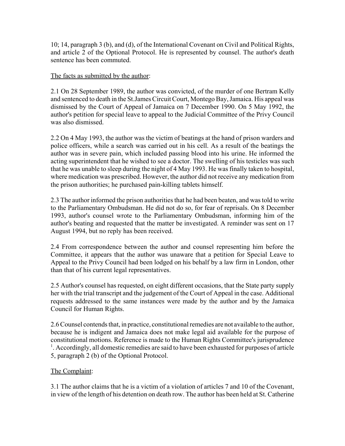10; 14, paragraph 3 (b), and (d), of the International Covenant on Civil and Political Rights, and article 2 of the Optional Protocol. He is represented by counsel. The author's death sentence has been commuted.

## The facts as submitted by the author:

2.1 On 28 September 1989, the author was convicted, of the murder of one Bertram Kelly and sentenced to death in the St.James Circuit Court, Montego Bay, Jamaica. His appeal was dismissed by the Court of Appeal of Jamaica on 7 December 1990. On 5 May 1992, the author's petition for special leave to appeal to the Judicial Committee of the Privy Council was also dismissed.

2.2 On 4 May 1993, the author was the victim of beatings at the hand of prison warders and police officers, while a search was carried out in his cell. As a result of the beatings the author was in severe pain, which included passing blood into his urine. He informed the acting superintendent that he wished to see a doctor. The swelling of his testicles was such that he was unable to sleep during the night of 4 May 1993. He was finally taken to hospital, where medication was prescribed. However, the author did not receive any medication from the prison authorities; he purchased pain-killing tablets himself.

2.3 The author informed the prison authorities that he had been beaten, and was told to write to the Parliamentary Ombudsman. He did not do so, for fear of reprisals. On 8 December 1993, author's counsel wrote to the Parliamentary Ombudsman, informing him of the author's beating and requested that the matter be investigated. A reminder was sent on 17 August 1994, but no reply has been received.

2.4 From correspondence between the author and counsel representing him before the Committee, it appears that the author was unaware that a petition for Special Leave to Appeal to the Privy Council had been lodged on his behalf by a law firm in London, other than that of his current legal representatives.

2.5 Author's counsel has requested, on eight different occasions, that the State party supply her with the trial transcript and the judgement of the Court of Appeal in the case. Additional requests addressed to the same instances were made by the author and by the Jamaica Council for Human Rights.

2.6 Counsel contends that, in practice, constitutional remedies are not available to the author, because he is indigent and Jamaica does not make legal aid available for the purpose of constitutional motions. Reference is made to the Human Rights Committee's jurisprudence <sup>1</sup>. Accordingly, all domestic remedies are said to have been exhausted for purposes of article 5, paragraph 2 (b) of the Optional Protocol.

# The Complaint:

3.1 The author claims that he is a victim of a violation of articles 7 and 10 of the Covenant, in view of the length of his detention on death row. The author has been held at St. Catherine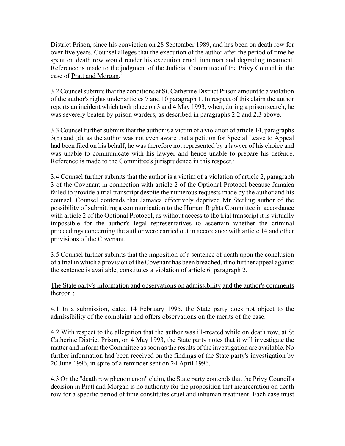District Prison, since his conviction on 28 September 1989, and has been on death row for over five years. Counsel alleges that the execution of the author after the period of time he spent on death row would render his execution cruel, inhuman and degrading treatment. Reference is made to the judgment of the Judicial Committee of the Privy Council in the case of Pratt and Morgan.<sup>2</sup>

3.2 Counsel submits that the conditions at St. Catherine District Prison amount to a violation of the author's rights under articles 7 and 10 paragraph 1. In respect of this claim the author reports an incident which took place on 3 and 4 May 1993, when, during a prison search, he was severely beaten by prison warders, as described in paragraphs 2.2 and 2.3 above.

3.3 Counsel further submits that the author is a victim of a violation of article 14, paragraphs 3(b) and (d), as the author was not even aware that a petition for Special Leave to Appeal had been filed on his behalf, he was therefore not represented by a lawyer of his choice and was unable to communicate with his lawyer and hence unable to prepare his defence. Reference is made to the Committee's jurisprudence in this respect.<sup>3</sup>

3.4 Counsel further submits that the author is a victim of a violation of article 2, paragraph 3 of the Covenant in connection with article 2 of the Optional Protocol because Jamaica failed to provide a trial transcript despite the numerous requests made by the author and his counsel. Counsel contends that Jamaica effectively deprived Mr Sterling author of the possibility of submitting a communication to the Human Rights Committee in accordance with article 2 of the Optional Protocol, as without access to the trial transcript it is virtually impossible for the author's legal representatives to ascertain whether the criminal proceedings concerning the author were carried out in accordance with article 14 and other provisions of the Covenant.

3.5 Counsel further submits that the imposition of a sentence of death upon the conclusion of a trial in which a provision of the Covenant has been breached, if no further appeal against the sentence is available, constitutes a violation of article 6, paragraph 2.

The State party's information and observations on admissibility and the author's comments thereon :

4.1 In a submission, dated 14 February 1995, the State party does not object to the admissibility of the complaint and offers observations on the merits of the case.

4.2 With respect to the allegation that the author was ill-treated while on death row, at St Catherine District Prison, on 4 May 1993, the State party notes that it will investigate the matter and inform the Committee as soon as the results of the investigation are available. No further information had been received on the findings of the State party's investigation by 20 June 1996, in spite of a reminder sent on 24 April 1996.

4.3 On the "death row phenomenon" claim, the State party contends that the Privy Council's decision in Pratt and Morgan is no authority for the proposition that incarceration on death row for a specific period of time constitutes cruel and inhuman treatment. Each case must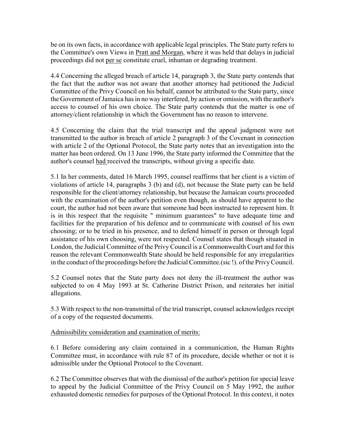be on its own facts, in accordance with applicable legal principles. The State party refers to the Committee's own Views in Pratt and Morgan, where it was held that delays in judicial proceedings did not per se constitute cruel, inhuman or degrading treatment.

4.4 Concerning the alleged breach of article 14, paragraph 3, the State party contends that the fact that the author was not aware that another attorney had petitioned the Judicial Committee of the Privy Council on his behalf, cannot be attributed to the State party, since the Government of Jamaica has in no way interfered, by action or omission, with the author's access to counsel of his own choice. The State party contends that the matter is one of attorney/client relationship in which the Government has no reason to intervene.

4.5 Concerning the claim that the trial transcript and the appeal judgment were not transmitted to the author in breach of article 2 paragraph 3 of the Covenant in connection with article 2 of the Optional Protocol, the State party notes that an investigation into the matter has been ordered. On 13 June 1996, the State party informed the Committee that the author's counsel had received the transcripts, without giving a specific date.

5.1 In her comments, dated 16 March 1995, counsel reaffirms that her client is a victim of violations of article 14, paragraphs 3 (b) and (d), not because the State party can be held responsible for the client/attorney relationship, but because the Jamaican courts proceeded with the examination of the author's petition even though, as should have apparent to the court, the author had not been aware that someone had been instructed to represent him. It is in this respect that the requisite " minimum guarantees" to have adequate time and facilities for the preparation of his defence and to communicate with counsel of his own choosing; or to be tried in his presence, and to defend himself in person or through legal assistance of his own choosing, were not respected. Counsel states that though situated in London, the Judicial Committee of the Privy Council is a Commonwealth Court and for this reason the relevant Commonwealth State should be held responsible for any irregularities in the conduct of the proceedings before the Judicial Committee.(sic !). of the Privy Council.

5.2 Counsel notes that the State party does not deny the ill-treatment the author was subjected to on 4 May 1993 at St. Catherine District Prison, and reiterates her initial allegations.

5.3 With respect to the non-transmittal of the trial transcript, counsel acknowledges receipt of a copy of the requested documents.

# Admissibility consideration and examination of merits:

6.1 Before considering any claim contained in a communication, the Human Rights Committee must, in accordance with rule 87 of its procedure, decide whether or not it is admissible under the Optional Protocol to the Covenant.

6.2 The Committee observes that with the dismissal of the author's petition for special leave to appeal by the Judicial Committee of the Privy Council on 5 May 1992, the author exhausted domestic remedies for purposes of the Optional Protocol. In this context, it notes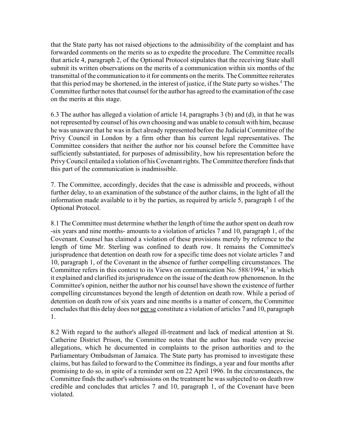that the State party has not raised objections to the admissibility of the complaint and has forwarded comments on the merits so as to expedite the procedure. The Committee recalls that article 4, paragraph 2, of the Optional Protocol stipulates that the receiving State shall submit its written observations on the merits of a communication within six months of the transmittal of the communication to it for comments on the merits. The Committee reiterates that this period may be shortened, in the interest of justice, if the State party so wishes.<sup>4</sup> The Committee further notes that counsel for the author has agreed to the examination of the case on the merits at this stage.

6.3 The author has alleged a violation of article 14, paragraphs 3 (b) and (d), in that he was not represented by counsel of his own choosing and was unable to consult with him, because he was unaware that he was in fact already represented before the Judicial Committee of the Privy Council in London by a firm other than his current legal representatives. The Committee considers that neither the author nor his counsel before the Committee have sufficiently substantiated, for purposes of admissibility, how his representation before the Privy Council entailed a violation of his Covenant rights. The Committee therefore finds that this part of the communication is inadmissible.

7. The Committee, accordingly, decides that the case is admissible and proceeds, without further delay, to an examination of the substance of the author claims, in the light of all the information made available to it by the parties, as required by article 5, paragraph 1 of the Optional Protocol.

8.1 The Committee must determine whether the length of time the author spent on death row -six years and nine months- amounts to a violation of articles 7 and 10, paragraph 1, of the Covenant. Counsel has claimed a violation of these provisions merely by reference to the length of time Mr. Sterling was confined to death row. It remains the Committee's jurisprudence that detention on death row for a specific time does not violate articles 7 and 10, paragraph 1, of the Covenant in the absence of further compelling circumstances. The Committee refers in this context to its Views on communication No.  $588/1994$ ,  $5$  in which it explained and clarified its jurisprudence on the issue of the death row phenomenon. In the Committee's opinion, neither the author nor his counsel have shown the existence of further compelling circumstances beyond the length of detention on death row. While a period of detention on death row of six years and nine months is a matter of concern, the Committee concludes that this delay does not per se constitute a violation of articles 7 and 10, paragraph 1.

8.2 With regard to the author's alleged ill-treatment and lack of medical attention at St. Catherine District Prison, the Committee notes that the author has made very precise allegations, which he documented in complaints to the prison authorities and to the Parliamentary Ombudsman of Jamaica. The State party has promised to investigate these claims, but has failed to forward to the Committee its findings, a year and four months after promising to do so, in spite of a reminder sent on 22 April 1996. In the circumstances, the Committee finds the author's submissions on the treatment he was subjected to on death row credible and concludes that articles 7 and 10, paragraph 1, of the Covenant have been violated.